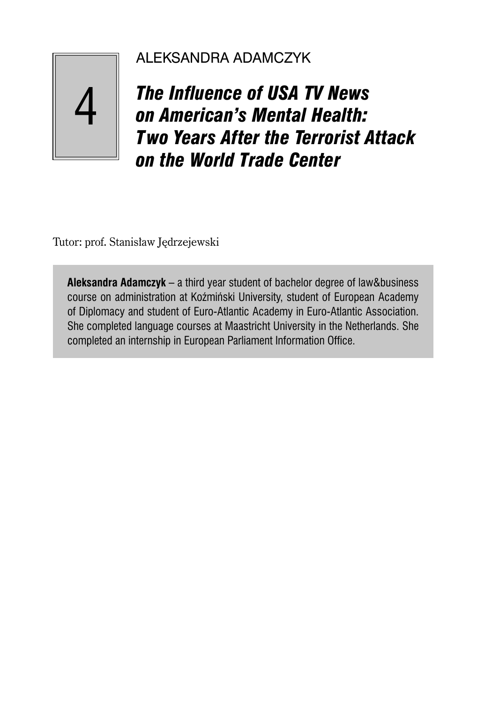# ALEKSANDRA ADAMCZYK

14

*The Influence of USA TV News on American's Mental Health: Two Years After the Terrorist Attack on the World Trade Center*

Tutor: prof. Stanisław Jędrzejewski

**Aleksandra Adamczyk** – a third year student of bachelor degree of law&business course on administration at Koźmiński University, student of European Academy of Diplomacy and student of Euro-Atlantic Academy in Euro-Atlantic Association. She completed language courses at Maastricht University in the Netherlands. She completed an internship in European Parliament Information Office.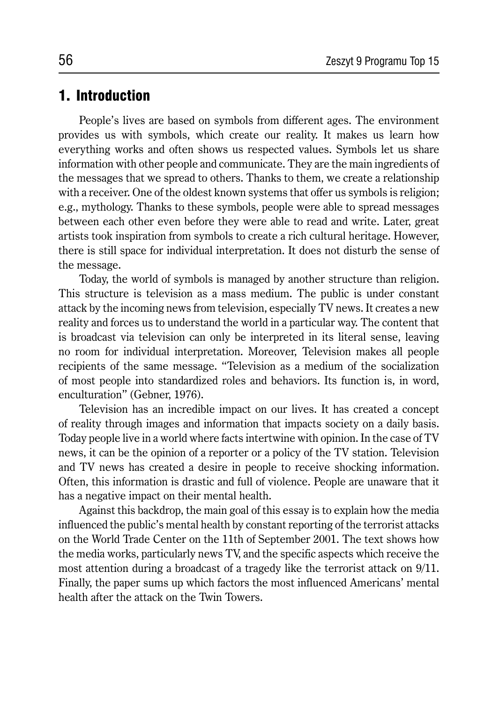### 1. Introduction

People's lives are based on symbols from different ages. The environment provides us with symbols, which create our reality. It makes us learn how everything works and often shows us respected values. Symbols let us share information with other people and communicate. They are the main ingredients of the messages that we spread to others. Thanks to them, we create a relationship with a receiver. One of the oldest known systems that offer us symbols is religion; e.g., mythology. Thanks to these symbols, people were able to spread messages between each other even before they were able to read and write. Later, great artists took inspiration from symbols to create a rich cultural heritage. However, there is still space for individual interpretation. It does not disturb the sense of the message.

Today, the world of symbols is managed by another structure than religion. This structure is television as a mass medium. The public is under constant attack by the incoming news from television, especially TV news. It creates a new reality and forces us to understand the world in a particular way. The content that is broadcast via television can only be interpreted in its literal sense, leaving no room for individual interpretation. Moreover, Television makes all people recipients of the same message. "Television as a medium of the socialization of most people into standardized roles and behaviors. Its function is, in word, enculturation" (Gebner, 1976).

Television has an incredible impact on our lives. It has created a concept of reality through images and information that impacts society on a daily basis. Today people live in a world where facts intertwine with opinion. In the case of TV news, it can be the opinion of a reporter or a policy of the TV station. Television and TV news has created a desire in people to receive shocking information. Often, this information is drastic and full of violence. People are unaware that it has a negative impact on their mental health.

Against this backdrop, the main goal of this essay is to explain how the media influenced the public's mental health by constant reporting of the terrorist attacks on the World Trade Center on the 11th of September 2001. The text shows how the media works, particularly news TV, and the specific aspects which receive the most attention during a broadcast of a tragedy like the terrorist attack on 9/11. Finally, the paper sums up which factors the most influenced Americans' mental health after the attack on the Twin Towers.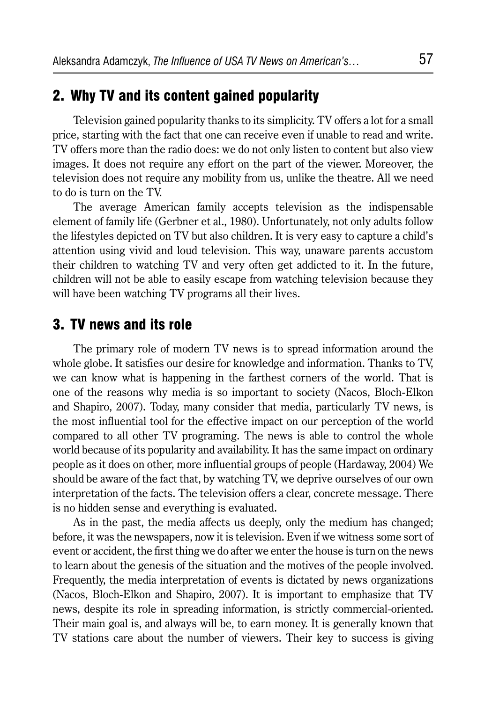#### 2. Why TV and its content gained popularity

Television gained popularity thanks to its simplicity. TV offers a lot for a small price, starting with the fact that one can receive even if unable to read and write. TV offers more than the radio does: we do not only listen to content but also view images. It does not require any effort on the part of the viewer. Moreover, the television does not require any mobility from us, unlike the theatre. All we need to do is turn on the TV.

The average American family accepts television as the indispensable element of family life (Gerbner et al., 1980). Unfortunately, not only adults follow the lifestyles depicted on TV but also children. It is very easy to capture a child's attention using vivid and loud television. This way, unaware parents accustom their children to watching TV and very often get addicted to it. In the future, children will not be able to easily escape from watching television because they will have been watching TV programs all their lives.

#### 3. TV news and its role

The primary role of modern TV news is to spread information around the whole globe. It satisfies our desire for knowledge and information. Thanks to TV, we can know what is happening in the farthest corners of the world. That is one of the reasons why media is so important to society (Nacos, Bloch-Elkon and Shapiro, 2007). Today, many consider that media, particularly TV news, is the most influential tool for the effective impact on our perception of the world compared to all other TV programing. The news is able to control the whole world because of its popularity and availability. It has the same impact on ordinary people as it does on other, more influential groups of people (Hardaway, 2004) We should be aware of the fact that, by watching TV, we deprive ourselves of our own interpretation of the facts. The television offers a clear, concrete message. There is no hidden sense and everything is evaluated.

As in the past, the media affects us deeply, only the medium has changed; before, it was the newspapers, now it is television. Even if we witness some sort of event or accident, the first thing we do after we enter the house is turn on the news to learn about the genesis of the situation and the motives of the people involved. Frequently, the media interpretation of events is dictated by news organizations (Nacos, Bloch-Elkon and Shapiro, 2007). It is important to emphasize that TV news, despite its role in spreading information, is strictly commercial-oriented. Their main goal is, and always will be, to earn money. It is generally known that TV stations care about the number of viewers. Their key to success is giving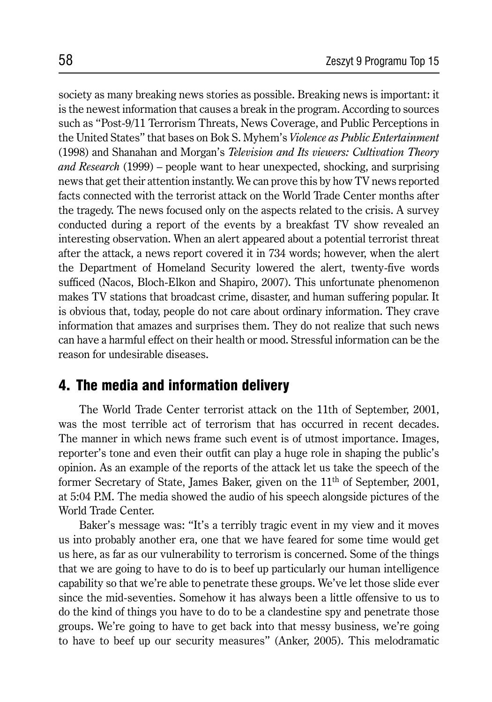society as many breaking news stories as possible. Breaking news is important: it is the newest information that causes a break in the program. According to sources such as "Post-9/11 Terrorism Threats, News Coverage, and Public Perceptions in the United States" that bases on Bok S. Myhem's *Violence as Public Entertainment* (1998) and Shanahan and Morgan's *Television and Its viewers: Cultivation Theory and Research* (1999) – people want to hear unexpected, shocking, and surprising news that get their attention instantly. We can prove this by how TV news reported facts connected with the terrorist attack on the World Trade Center months after the tragedy. The news focused only on the aspects related to the crisis. A survey conducted during a report of the events by a breakfast TV show revealed an interesting observation. When an alert appeared about a potential terrorist threat after the attack, a news report covered it in 734 words; however, when the alert the Department of Homeland Security lowered the alert, twenty-five words sufficed (Nacos, Bloch-Elkon and Shapiro, 2007). This unfortunate phenomenon makes TV stations that broadcast crime, disaster, and human suffering popular. It is obvious that, today, people do not care about ordinary information. They crave information that amazes and surprises them. They do not realize that such news can have a harmful effect on their health or mood. Stressful information can be the reason for undesirable diseases.

### 4. The media and information delivery

The World Trade Center terrorist attack on the 11th of September, 2001, was the most terrible act of terrorism that has occurred in recent decades. The manner in which news frame such event is of utmost importance. Images, reporter's tone and even their outfit can play a huge role in shaping the public's opinion. As an example of the reports of the attack let us take the speech of the former Secretary of State, James Baker, given on the 11<sup>th</sup> of September, 2001, at 5:04 P.M. The media showed the audio of his speech alongside pictures of the World Trade Center.

Baker's message was: "It's a terribly tragic event in my view and it moves us into probably another era, one that we have feared for some time would get us here, as far as our vulnerability to terrorism is concerned. Some of the things that we are going to have to do is to beef up particularly our human intelligence capability so that we're able to penetrate these groups. We've let those slide ever since the mid-seventies. Somehow it has always been a little offensive to us to do the kind of things you have to do to be a clandestine spy and penetrate those groups. We're going to have to get back into that messy business, we're going to have to beef up our security measures" (Anker, 2005). This melodramatic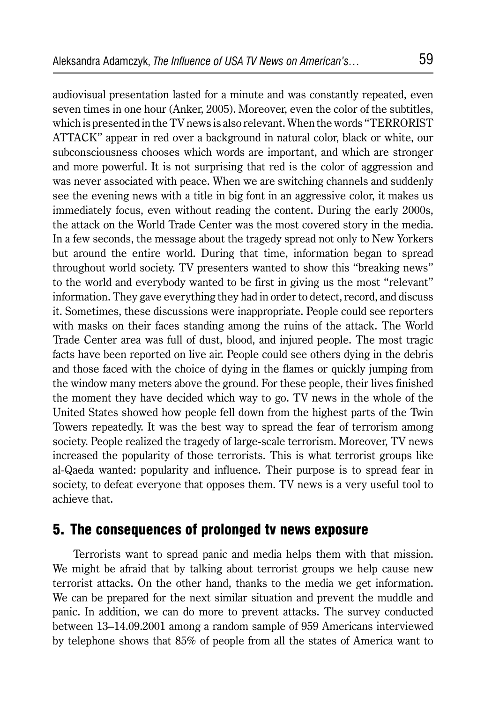audiovisual presentation lasted for a minute and was constantly repeated, even seven times in one hour (Anker, 2005). Moreover, even the color of the subtitles, which is presented in the TV news is also relevant. When the words "TERRORIST ATTACK" appear in red over a background in natural color, black or white, our subconsciousness chooses which words are important, and which are stronger and more powerful. It is not surprising that red is the color of aggression and was never associated with peace. When we are switching channels and suddenly see the evening news with a title in big font in an aggressive color, it makes us immediately focus, even without reading the content. During the early 2000s, the attack on the World Trade Center was the most covered story in the media. In a few seconds, the message about the tragedy spread not only to New Yorkers but around the entire world. During that time, information began to spread throughout world society. TV presenters wanted to show this "breaking news" to the world and everybody wanted to be first in giving us the most "relevant" information. They gave everything they had in order to detect, record, and discuss it. Sometimes, these discussions were inappropriate. People could see reporters with masks on their faces standing among the ruins of the attack. The World Trade Center area was full of dust, blood, and injured people. The most tragic facts have been reported on live air. People could see others dying in the debris and those faced with the choice of dying in the flames or quickly jumping from the window many meters above the ground. For these people, their lives finished the moment they have decided which way to go. TV news in the whole of the United States showed how people fell down from the highest parts of the Twin Towers repeatedly. It was the best way to spread the fear of terrorism among society. People realized the tragedy of large-scale terrorism. Moreover, TV news increased the popularity of those terrorists. This is what terrorist groups like al-Qaeda wanted: popularity and influence. Their purpose is to spread fear in society, to defeat everyone that opposes them. TV news is a very useful tool to achieve that.

### 5. The con sequences of prolonged tv news exposure

Terrorists want to spread panic and media helps them with that mission. We might be afraid that by talking about terrorist groups we help cause new terrorist attacks. On the other hand, thanks to the media we get information. We can be prepared for the next similar situation and prevent the muddle and panic. In addition, we can do more to prevent attacks. The survey conducted between 13–14.09.2001 among a random sample of 959 Americans interviewed by telephone shows that 85% of people from all the states of America want to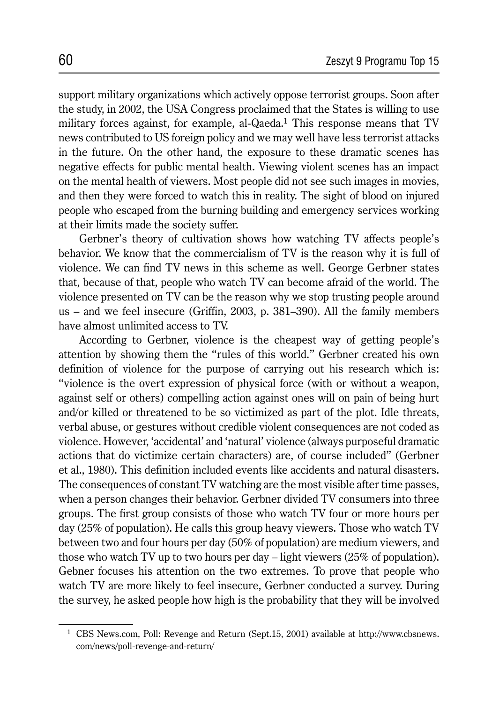support military organizations which actively oppose terrorist groups. Soon after the study, in 2002, the USA Congress proclaimed that the States is willing to use military forces against, for example, al-Qaeda.<sup>1</sup> This response means that TV news contributed to US foreign policy and we may well have less terrorist attacks in the future. On the other hand, the exposure to these dramatic scenes has negative effects for public mental health. Viewing violent scenes has an impact on the mental health of viewers. Most people did not see such images in movies, and then they were forced to watch this in reality. The sight of blood on injured people who escaped from the burning building and emergency services working at their limits made the society suffer.

Gerbner's theory of cultivation shows how watching TV affects people's behavior. We know that the commercialism of TV is the reason why it is full of violence. We can find TV news in this scheme as well. George Gerbner states that, because of that, people who watch TV can become afraid of the world. The violence presented on TV can be the reason why we stop trusting people around us – and we feel insecure (Griffin, 2003, p. 381–390). All the family members have almost unlimited access to TV.

According to Gerbner, violence is the cheapest way of getting people's attention by showing them the "rules of this world." Gerbner created his own definition of violence for the purpose of carrying out his research which is: "violence is the overt expression of physical force (with or without a weapon, against self or others) compelling action against ones will on pain of being hurt and/or killed or threatened to be so victimized as part of the plot. Idle threats, verbal abuse, or gestures without credible violent consequences are not coded as violence. However, 'accidental' and 'natural' violence (always purposeful dramatic actions that do victimize certain characters) are, of course included" (Gerbner et al., 1980). This definition included events like accidents and natural disasters. The consequences of constant TV watching are the most visible after time passes, when a person changes their behavior. Gerbner divided TV consumers into three groups. The first group consists of those who watch TV four or more hours per day (25% of population). He calls this group heavy viewers. Those who watch TV between two and four hours per day (50% of population) are medium viewers, and those who watch TV up to two hours per day – light viewers (25% of population). Gebner focuses his attention on the two extremes. To prove that people who watch TV are more likely to feel insecure, Gerbner conducted a survey. During the survey, he asked people how high is the probability that they will be involved

<sup>1</sup> CBS News.com, Poll: Revenge and Return (Sept.15, 2001) available at http://www.cbsnews. com/news/poll-revenge-and-return/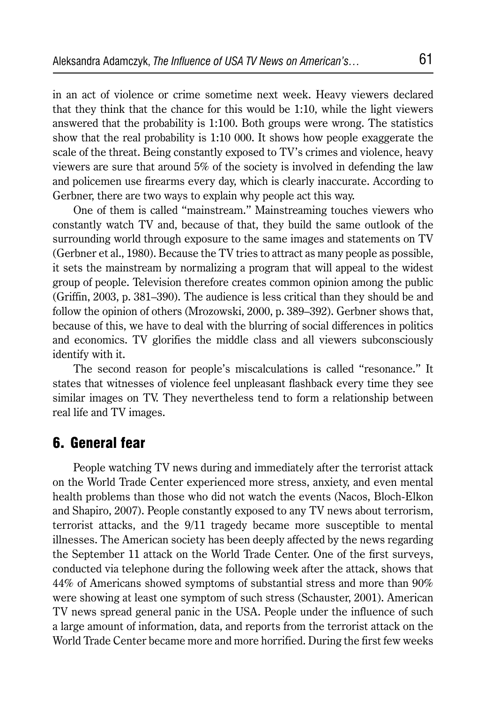in an act of violence or crime sometime next week. Heavy viewers declared that they think that the chance for this would be 1:10, while the light viewers answered that the probability is 1:100. Both groups were wrong. The statistics show that the real probability is 1:10 000. It shows how people exaggerate the scale of the threat. Being constantly exposed to TV's crimes and violence, heavy viewers are sure that around 5% of the society is involved in defending the law and policemen use firearms every day, which is clearly inaccurate. According to Gerbner, there are two ways to explain why people act this way.

One of them is called "mainstream." Mainstreaming touches viewers who constantly watch TV and, because of that, they build the same outlook of the surrounding world through exposure to the same images and statements on TV (Gerbner et al., 1980). Because the TV tries to attract as many people as possible, it sets the mainstream by normalizing a program that will appeal to the widest group of people. Television therefore creates common opinion among the public (Griffin, 2003, p. 381–390). The audience is less critical than they should be and follow the opinion of others (Mrozowski, 2000, p. 389–392). Gerbner shows that, because of this, we have to deal with the blurring of social differences in politics and economics. TV glorifies the middle class and all viewers subconsciously identify with it.

The second reason for people's miscalculations is called "resonance." It states that witnesses of violence feel unpleasant flashback every time they see similar images on TV. They nevertheless tend to form a relationship between real life and TV images.

### 6. General fear

People watching TV news during and immediately after the terrorist attack on the World Trade Center experienced more stress, anxiety, and even mental health problems than those who did not watch the events (Nacos, Bloch-Elkon and Shapiro, 2007). People constantly exposed to any TV news about terrorism, terrorist attacks, and the 9/11 tragedy became more susceptible to mental illnesses. The American society has been deeply affected by the news regarding the September 11 attack on the World Trade Center. One of the first surveys, conducted via telephone during the following week after the attack, shows that 44% of Americans showed symptoms of substantial stress and more than 90% were showing at least one symptom of such stress (Schauster, 2001). American TV news spread general panic in the USA. People under the influence of such a large amount of information, data, and reports from the terrorist attack on the World Trade Center became more and more horrified. During the first few weeks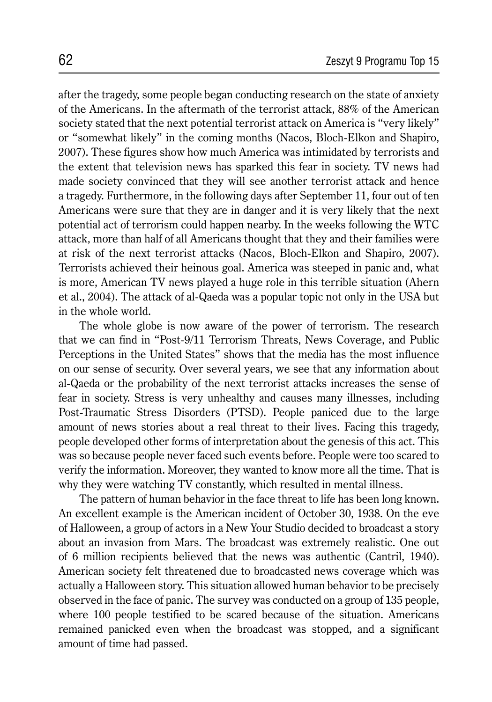after the tragedy, some people began conducting research on the state of anxiety of the Americans. In the aftermath of the terrorist attack, 88% of the American society stated that the next potential terrorist attack on America is "very likely" or "somewhat likely" in the coming months (Nacos, Bloch-Elkon and Shapiro, 2007). These figures show how much America was intimidated by terrorists and the extent that television news has sparked this fear in society. TV news had made society convinced that they will see another terrorist attack and hence a tragedy. Furthermore, in the following days after September 11, four out of ten Americans were sure that they are in danger and it is very likely that the next potential act of terrorism could happen nearby. In the weeks following the WTC attack, more than half of all Americans thought that they and their families were at risk of the next terrorist attacks (Nacos, Bloch-Elkon and Shapiro, 2007). Terrorists achieved their heinous goal. America was steeped in panic and, what is more, American TV news played a huge role in this terrible situation (Ahern et al., 2004). The attack of al-Qaeda was a popular topic not only in the USA but in the whole world.

The whole globe is now aware of the power of terrorism. The research that we can find in "Post-9/11 Terrorism Threats, News Coverage, and Public Perceptions in the United States" shows that the media has the most influence on our sense of security. Over several years, we see that any information about al-Qaeda or the probability of the next terrorist attacks increases the sense of fear in society. Stress is very unhealthy and causes many illnesses, including Post-Traumatic Stress Disorders (PTSD). People paniced due to the large amount of news stories about a real threat to their lives. Facing this tragedy, people developed other forms of interpretation about the genesis of this act. This was so because people never faced such events before. People were too scared to verify the information. Moreover, they wanted to know more all the time. That is why they were watching TV constantly, which resulted in mental illness.

The pattern of human behavior in the face threat to life has been long known. An excellent example is the American incident of October 30, 1938. On the eve of Halloween, a group of actors in a New Your Studio decided to broadcast a story about an invasion from Mars. The broadcast was extremely realistic. One out of 6 million recipients believed that the news was authentic (Cantril, 1940). American society felt threatened due to broadcasted news coverage which was actually a Halloween story. This situation allowed human behavior to be precisely observed in the face of panic. The survey was conducted on a group of 135 people, where 100 people testified to be scared because of the situation. Americans remained panicked even when the broadcast was stopped, and a significant amount of time had passed.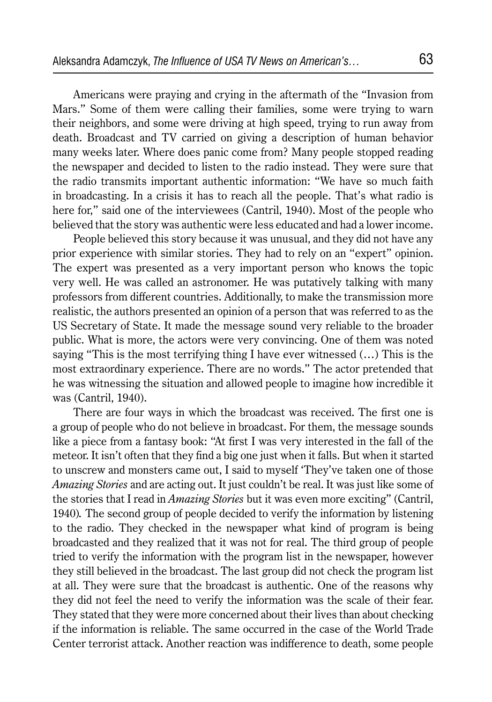Americans were praying and crying in the aftermath of the "Invasion from Mars." Some of them were calling their families, some were trying to warn their neighbors, and some were driving at high speed, trying to run away from death. Broadcast and TV carried on giving a description of human behavior many weeks later. Where does panic come from? Many people stopped reading the newspaper and decided to listen to the radio instead. They were sure that the radio transmits important authentic information: "We have so much faith in broadcasting. In a crisis it has to reach all the people. That's what radio is here for," said one of the interviewees (Cantril, 1940). Most of the people who believed that the story was authentic were less educated and had a lower income.

People believed this story because it was unusual, and they did not have any prior experience with similar stories. They had to rely on an "expert" opinion. The expert was presented as a very important person who knows the topic very well. He was called an astronomer. He was putatively talking with many professors from different countries. Additionally, to make the transmission more realistic, the authors presented an opinion of a person that was referred to as the US Secretary of State. It made the message sound very reliable to the broader public. What is more, the actors were very convincing. One of them was noted saying "This is the most terrifying thing I have ever witnessed (…) This is the most extraordinary experience. There are no words." The actor pretended that he was witnessing the situation and allowed people to imagine how incredible it was (Cantril, 1940).

There are four ways in which the broadcast was received. The first one is a group of people who do not believe in broadcast. For them, the message sounds like a piece from a fantasy book: "At first I was very interested in the fall of the meteor. It isn't often that they find a big one just when it falls. But when it started to unscrew and monsters came out, I said to myself 'They've taken one of those *Amazing Stories* and are acting out. It just couldn't be real. It was just like some of the stories that I read in *Amazing Stories* but it was even more exciting" (Cantril, 1940)*.* The second group of people decided to verify the information by listening to the radio. They checked in the newspaper what kind of program is being broadcasted and they realized that it was not for real. The third group of people tried to verify the information with the program list in the newspaper, however they still believed in the broadcast. The last group did not check the program list at all. They were sure that the broadcast is authentic. One of the reasons why they did not feel the need to verify the information was the scale of their fear. They stated that they were more concerned about their lives than about checking if the information is reliable. The same occurred in the case of the World Trade Center terrorist attack. Another reaction was indifference to death, some people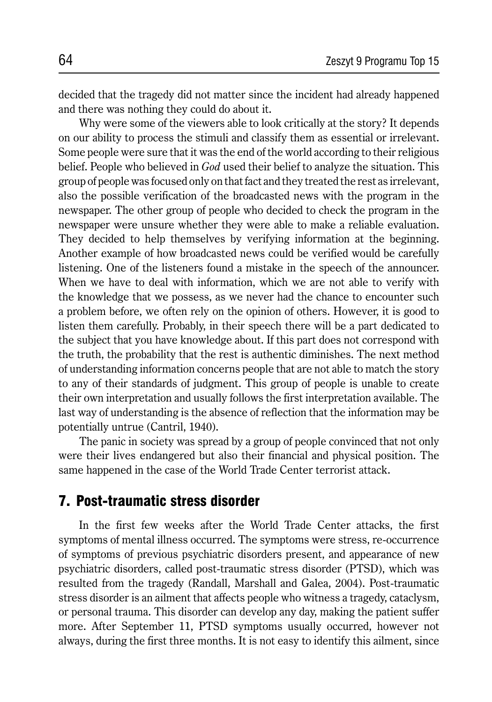decided that the tragedy did not matter since the incident had already happened and there was nothing they could do about it.

Why were some of the viewers able to look critically at the story? It depends on our ability to process the stimuli and classify them as essential or irrelevant. Some people were sure that it was the end of the world according to their religious belief. People who believed in *God* used their belief to analyze the situation. This group of people was focused only on that fact and they treated the rest as irrelevant, also the possible verification of the broadcasted news with the program in the newspaper. The other group of people who decided to check the program in the newspaper were unsure whether they were able to make a reliable evaluation. They decided to help themselves by verifying information at the beginning. Another example of how broadcasted news could be verified would be carefully listening. One of the listeners found a mistake in the speech of the announcer. When we have to deal with information, which we are not able to verify with the knowledge that we possess, as we never had the chance to encounter such a problem before, we often rely on the opinion of others. However, it is good to listen them carefully. Probably, in their speech there will be a part dedicated to the subject that you have knowledge about. If this part does not correspond with the truth, the probability that the rest is authentic diminishes. The next method of understanding information concerns people that are not able to match the story to any of their standards of judgment. This group of people is unable to create their own interpretation and usually follows the first interpretation available. The last way of understanding is the absence of reflection that the information may be potentially untrue (Cantril, 1940).

The panic in society was spread by a group of people convinced that not only were their lives endangered but also their financial and physical position. The same happened in the case of the World Trade Center terrorist attack.

### 7. Post-traumatic stress disorder

In the first few weeks after the World Trade Center attacks, the first symptoms of mental illness occurred. The symptoms were stress, re-occurrence of symptoms of previous psychiatric disorders present, and appearance of new psychiatric disorders, called post-traumatic stress disorder (PTSD), which was resulted from the tragedy (Randall, Marshall and Galea, 2004). Post-traumatic stress disorder is an ailment that affects people who witness a tragedy, cataclysm, or personal trauma. This disorder can develop any day, making the patient suffer more. After September 11, PTSD symptoms usually occurred, however not always, during the first three months. It is not easy to identify this ailment, since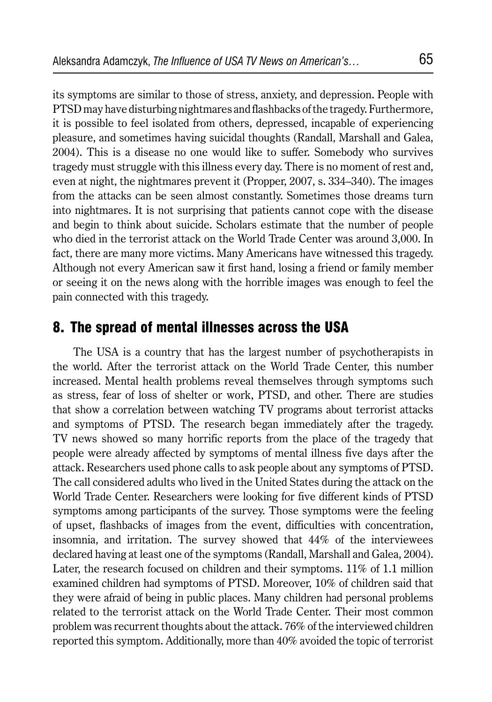its symptoms are similar to those of stress, anxiety, and depression. People with PTSD may have disturbing nightmares and flashbacks of the tragedy. Furthermore, it is possible to feel isolated from others, depressed, incapable of experiencing pleasure, and sometimes having suicidal thoughts (Randall, Marshall and Galea, 2004). This is a disease no one would like to suffer. Somebody who survives tragedy must struggle with this illness every day. There is no moment of rest and, even at night, the nightmares prevent it (Propper, 2007, s. 334–340). The images from the attacks can be seen almost constantly. Sometimes those dreams turn into nightmares. It is not surprising that patients cannot cope with the disease and begin to think about suicide. Scholars estimate that the number of people who died in the terrorist attack on the World Trade Center was around 3,000. In fact, there are many more victims. Many Americans have witnessed this tragedy. Although not every American saw it first hand, losing a friend or family member or seeing it on the news along with the horrible images was enough to feel the pain connected with this tragedy.

### 8. The spread of mental illnesses across the USA

The USA is a country that has the largest number of psychotherapists in the world. After the terrorist attack on the World Trade Center, this number increased. Mental health problems reveal themselves through symptoms such as stress, fear of loss of shelter or work, PTSD, and other. There are studies that show a correlation between watching TV programs about terrorist attacks and symptoms of PTSD. The research began immediately after the tragedy. TV news showed so many horrific reports from the place of the tragedy that people were already affected by symptoms of mental illness five days after the attack. Researchers used phone calls to ask people about any symptoms of PTSD. The call considered adults who lived in the United States during the attack on the World Trade Center. Researchers were looking for five different kinds of PTSD symptoms among participants of the survey. Those symptoms were the feeling of upset, flashbacks of images from the event, difficulties with concentration, insomnia, and irritation. The survey showed that 44% of the interviewees declared having at least one of the symptoms (Randall, Marshall and Galea, 2004). Later, the research focused on children and their symptoms.  $11\%$  of 1.1 million examined children had symptoms of PTSD. Moreover, 10% of children said that they were afraid of being in public places. Many children had personal problems related to the terrorist attack on the World Trade Center. Their most common problem was recurrent thoughts about the attack. 76% of the interviewed children reported this symptom. Additionally, more than 40% avoided the topic of terrorist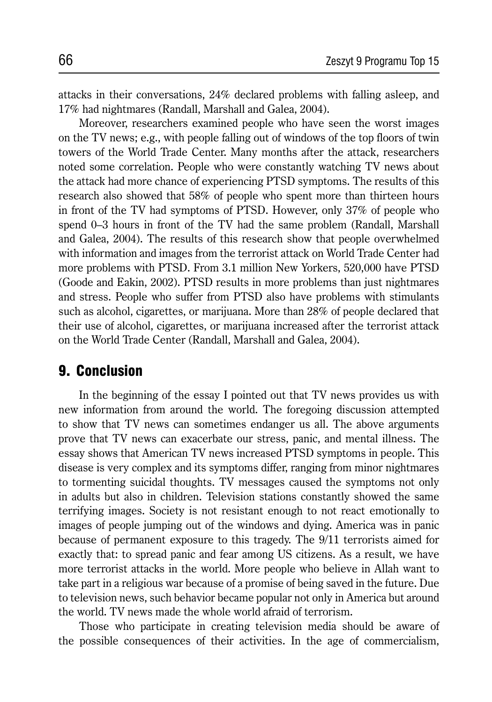attacks in their conversations, 24% declared problems with falling asleep, and 17% had nightmares (Randall, Marshall and Galea, 2004).

Moreover, researchers examined people who have seen the worst images on the TV news; e.g., with people falling out of windows of the top floors of twin towers of the World Trade Center. Many months after the attack, researchers noted some correlation. People who were constantly watching TV news about the attack had more chance of experiencing PTSD symptoms. The results of this research also showed that 58% of people who spent more than thirteen hours in front of the TV had symptoms of PTSD. However, only 37% of people who spend 0–3 hours in front of the TV had the same problem (Randall, Marshall and Galea, 2004). The results of this research show that people overwhelmed with information and images from the terrorist attack on World Trade Center had more problems with PTSD. From 3.1 million New Yorkers, 520,000 have PTSD (Goode and Eakin, 2002). PTSD results in more problems than just nightmares and stress. People who suffer from PTSD also have problems with stimulants such as alcohol, cigarettes, or marijuana. More than 28% of people declared that their use of alcohol, cigarettes, or marijuana increased after the terrorist attack on the World Trade Center (Randall, Marshall and Galea, 2004).

### 9. Conclusion

In the beginning of the essay I pointed out that TV news provides us with new information from around the world. The foregoing discussion attempted to show that TV news can sometimes endanger us all. The above arguments prove that TV news can exacerbate our stress, panic, and mental illness. The essay shows that American TV news increased PTSD symptoms in people. This disease is very complex and its symptoms differ, ranging from minor nightmares to tormenting suicidal thoughts. TV messages caused the symptoms not only in adults but also in children. Television stations constantly showed the same terrifying images. Society is not resistant enough to not react emotionally to images of people jumping out of the windows and dying. America was in panic because of permanent exposure to this tragedy. The 9/11 terrorists aimed for exactly that: to spread panic and fear among US citizens. As a result, we have more terrorist attacks in the world. More people who believe in Allah want to take part in a religious war because of a promise of being saved in the future. Due to television news, such behavior became popular not only in America but around the world. TV news made the whole world afraid of terrorism.

Those who participate in creating television media should be aware of the possible consequences of their activities. In the age of commercialism,